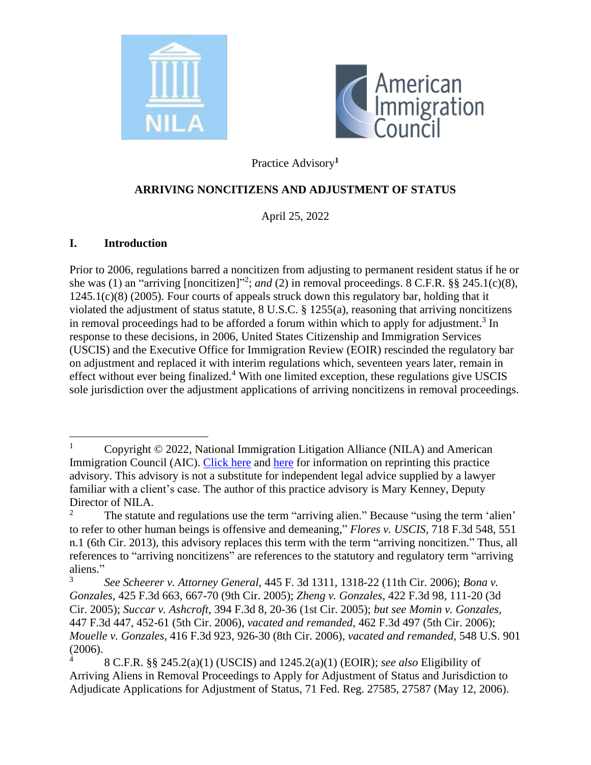



Practice Advisory**<sup>1</sup>**

### **ARRIVING NONCITIZENS AND ADJUSTMENT OF STATUS**

April 25, 2022

#### **I. Introduction**

Prior to 2006, regulations barred a noncitizen from adjusting to permanent resident status if he or she was (1) an "arriving [noncitizen]"<sup>2</sup>; and (2) in removal proceedings. 8 C.F.R.  $\S$ § 245.1(c)(8), 1245.1(c)(8) (2005). Four courts of appeals struck down this regulatory bar, holding that it violated the adjustment of status statute, 8 U.S.C. § 1255(a), reasoning that arriving noncitizens in removal proceedings had to be afforded a forum within which to apply for adjustment.<sup>3</sup> In response to these decisions, in 2006, United States Citizenship and Immigration Services (USCIS) and the Executive Office for Immigration Review (EOIR) rescinded the regulatory bar on adjustment and replaced it with interim regulations which, seventeen years later, remain in effect without ever being finalized.<sup>4</sup> With one limited exception, these regulations give USCIS sole jurisdiction over the adjustment applications of arriving noncitizens in removal proceedings.

<sup>&</sup>lt;sup>1</sup> Copyright  $\odot$  2022, National Immigration Litigation Alliance (NILA) and American Immigration Council (AIC). [Click here](http://www.legalactioncenter.org/sites/default/files/docs/lac/copyright-LAC.pdf) and [here](https://immigrationlitigation.org/privacy-policy/) for information on reprinting this practice advisory. This advisory is not a substitute for independent legal advice supplied by a lawyer familiar with a client's case. The author of this practice advisory is Mary Kenney, Deputy Director of NILA.

<sup>2</sup> The statute and regulations use the term "arriving alien." Because "using the term 'alien' to refer to other human beings is offensive and demeaning," *Flores v. USCIS*, 718 F.3d 548, 551 n.1 (6th Cir. 2013), this advisory replaces this term with the term "arriving noncitizen." Thus, all references to "arriving noncitizens" are references to the statutory and regulatory term "arriving aliens."

<sup>3</sup> *See Scheerer v. Attorney General,* 445 F. 3d 1311, 1318-22 (11th Cir. 2006); *Bona v. Gonzales,* 425 F.3d 663, 667-70 (9th Cir. 2005); *Zheng v. Gonzales,* 422 F.3d 98, 111-20 (3d Cir. 2005); *Succar v. Ashcroft*, 394 F.3d 8, 20-36 (1st Cir. 2005); *but see Momin v. Gonzales,*  447 F.3d 447, 452-61 (5th Cir. 2006), *vacated and remanded,* 462 F.3d 497 (5th Cir. 2006); *Mouelle v. Gonzales,* 416 F.3d 923, 926-30 (8th Cir. 2006), *vacated and remanded,* 548 U.S. 901 (2006).

<sup>4</sup> 8 C.F.R. §§ 245.2(a)(1) (USCIS) and 1245.2(a)(1) (EOIR); *see also* Eligibility of Arriving Aliens in Removal Proceedings to Apply for Adjustment of Status and Jurisdiction to Adjudicate Applications for Adjustment of Status, 71 Fed. Reg. 27585, 27587 (May 12, 2006).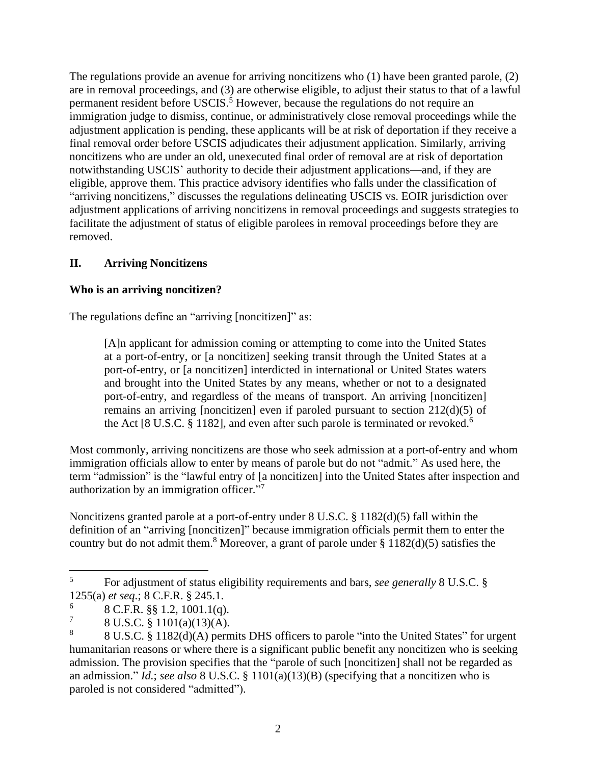The regulations provide an avenue for arriving noncitizens who (1) have been granted parole, (2) are in removal proceedings, and (3) are otherwise eligible, to adjust their status to that of a lawful permanent resident before USCIS. <sup>5</sup> However, because the regulations do not require an immigration judge to dismiss, continue, or administratively close removal proceedings while the adjustment application is pending, these applicants will be at risk of deportation if they receive a final removal order before USCIS adjudicates their adjustment application. Similarly, arriving noncitizens who are under an old, unexecuted final order of removal are at risk of deportation notwithstanding USCIS' authority to decide their adjustment applications—and, if they are eligible, approve them. This practice advisory identifies who falls under the classification of "arriving noncitizens," discusses the regulations delineating USCIS vs. EOIR jurisdiction over adjustment applications of arriving noncitizens in removal proceedings and suggests strategies to facilitate the adjustment of status of eligible parolees in removal proceedings before they are removed.

# **II. Arriving Noncitizens**

### **Who is an arriving noncitizen?**

The regulations define an "arriving [noncitizen]" as:

[A]n applicant for admission coming or attempting to come into the United States at a port-of-entry, or [a noncitizen] seeking transit through the United States at a port-of-entry, or [a noncitizen] interdicted in international or United States waters and brought into the United States by any means, whether or not to a designated port-of-entry, and regardless of the means of transport. An arriving [noncitizen] remains an arriving [noncitizen] even if paroled pursuant to section 212(d)(5) of the Act [8 U.S.C.  $\S 1182$ ], and even after such parole is terminated or revoked.<sup>6</sup>

Most commonly, arriving noncitizens are those who seek admission at a port-of-entry and whom immigration officials allow to enter by means of parole but do not "admit." As used here, the term "admission" is the "lawful entry of [a noncitizen] into the United States after inspection and authorization by an immigration officer."<sup>7</sup>

Noncitizens granted parole at a port-of-entry under 8 U.S.C. § 1182(d)(5) fall within the definition of an "arriving [noncitizen]" because immigration officials permit them to enter the country but do not admit them.<sup>8</sup> Moreover, a grant of parole under  $\S 1182(d)(5)$  satisfies the

<sup>5</sup> For adjustment of status eligibility requirements and bars, *see generally* 8 U.S.C. § 1255(a) *et seq.*; 8 C.F.R. § 245.1.

<sup>6</sup> 8 C.F.R. §§ 1.2, 1001.1(q).

<sup>7</sup> 8 U.S.C. § 1101(a)(13)(A).

<sup>8</sup> 8 U.S.C. § 1182(d)(A) permits DHS officers to parole "into the United States" for urgent humanitarian reasons or where there is a significant public benefit any noncitizen who is seeking admission. The provision specifies that the "parole of such [noncitizen] shall not be regarded as an admission." *Id.*; *see also* 8 U.S.C. § 1101(a)(13)(B) (specifying that a noncitizen who is paroled is not considered "admitted").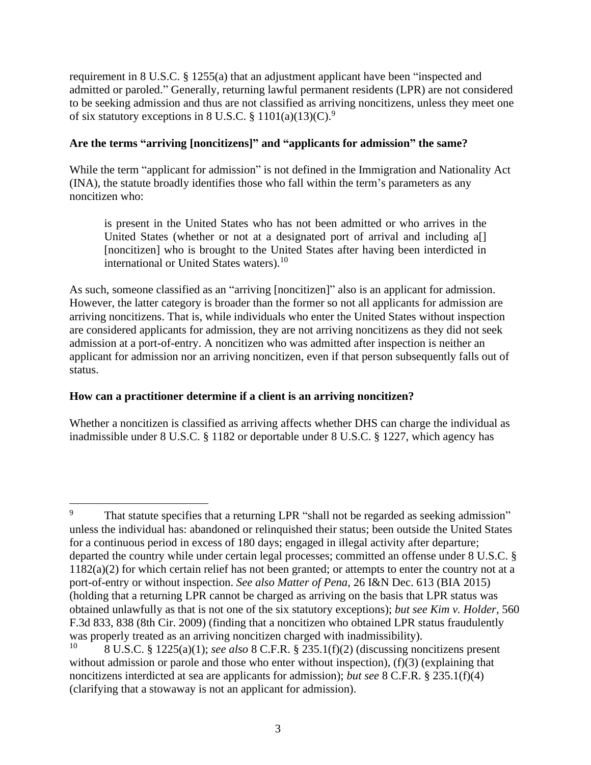requirement in 8 U.S.C. § 1255(a) that an adjustment applicant have been "inspected and admitted or paroled." Generally, returning lawful permanent residents (LPR) are not considered to be seeking admission and thus are not classified as arriving noncitizens, unless they meet one of six statutory exceptions in 8 U.S.C.  $\S 1101(a)(13)(C)^{9}$ 

### **Are the terms "arriving [noncitizens]" and "applicants for admission" the same?**

While the term "applicant for admission" is not defined in the Immigration and Nationality Act (INA), the statute broadly identifies those who fall within the term's parameters as any noncitizen who:

is present in the United States who has not been admitted or who arrives in the United States (whether or not at a designated port of arrival and including a[] [noncitizen] who is brought to the United States after having been interdicted in international or United States waters). $10$ 

As such, someone classified as an "arriving [noncitizen]" also is an applicant for admission. However, the latter category is broader than the former so not all applicants for admission are arriving noncitizens. That is, while individuals who enter the United States without inspection are considered applicants for admission, they are not arriving noncitizens as they did not seek admission at a port-of-entry. A noncitizen who was admitted after inspection is neither an applicant for admission nor an arriving noncitizen, even if that person subsequently falls out of status.

### **How can a practitioner determine if a client is an arriving noncitizen?**

Whether a noncitizen is classified as arriving affects whether DHS can charge the individual as inadmissible under 8 U.S.C. § 1182 or deportable under 8 U.S.C. § 1227, which agency has

That statute specifies that a returning LPR "shall not be regarded as seeking admission" unless the individual has: abandoned or relinquished their status; been outside the United States for a continuous period in excess of 180 days; engaged in illegal activity after departure; departed the country while under certain legal processes; committed an offense under 8 U.S.C. § 1182(a)(2) for which certain relief has not been granted; or attempts to enter the country not at a port-of-entry or without inspection. *See also Matter of Pena*, 26 I&N Dec. 613 (BIA 2015) (holding that a returning LPR cannot be charged as arriving on the basis that LPR status was obtained unlawfully as that is not one of the six statutory exceptions); *but see Kim v. Holder*, 560 F.3d 833, 838 (8th Cir. 2009) (finding that a noncitizen who obtained LPR status fraudulently was properly treated as an arriving noncitizen charged with inadmissibility).<br> $^{10}$  8 U S C  $^{8}$  1225(e)(1); see also 8 C E B  $^{8}$  225 1(f)(2) (discussing non

<sup>10</sup> 8 U.S.C. § 1225(a)(1); *see also* 8 C.F.R. § 235.1(f)(2) (discussing noncitizens present without admission or parole and those who enter without inspection), (f)(3) (explaining that noncitizens interdicted at sea are applicants for admission); *but see* 8 C.F.R. § 235.1(f)(4) (clarifying that a stowaway is not an applicant for admission).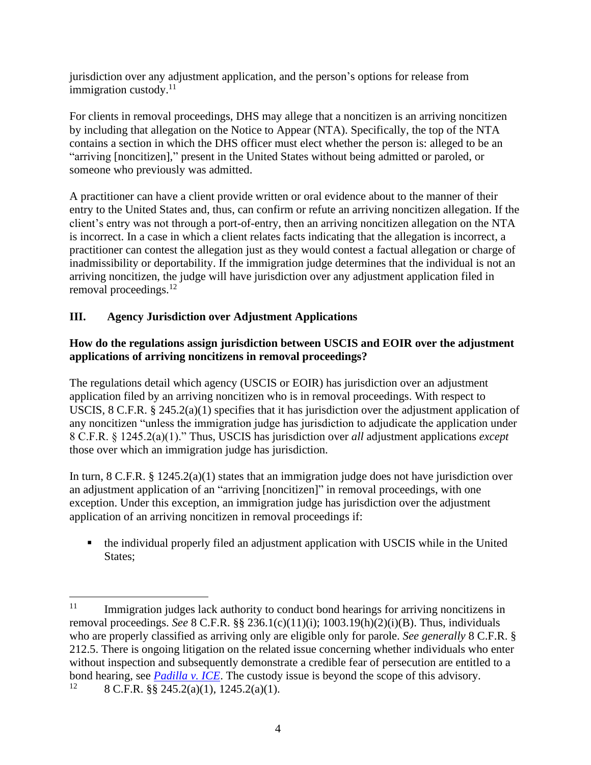jurisdiction over any adjustment application, and the person's options for release from immigration custody.<sup>11</sup>

For clients in removal proceedings, DHS may allege that a noncitizen is an arriving noncitizen by including that allegation on the Notice to Appear (NTA). Specifically, the top of the NTA contains a section in which the DHS officer must elect whether the person is: alleged to be an "arriving [noncitizen]," present in the United States without being admitted or paroled, or someone who previously was admitted.

A practitioner can have a client provide written or oral evidence about to the manner of their entry to the United States and, thus, can confirm or refute an arriving noncitizen allegation. If the client's entry was not through a port-of-entry, then an arriving noncitizen allegation on the NTA is incorrect. In a case in which a client relates facts indicating that the allegation is incorrect, a practitioner can contest the allegation just as they would contest a factual allegation or charge of inadmissibility or deportability. If the immigration judge determines that the individual is not an arriving noncitizen, the judge will have jurisdiction over any adjustment application filed in removal proceedings.<sup>12</sup>

# **III. Agency Jurisdiction over Adjustment Applications**

## **How do the regulations assign jurisdiction between USCIS and EOIR over the adjustment applications of arriving noncitizens in removal proceedings?**

The regulations detail which agency (USCIS or EOIR) has jurisdiction over an adjustment application filed by an arriving noncitizen who is in removal proceedings. With respect to USCIS, 8 C.F.R. § 245.2(a)(1) specifies that it has jurisdiction over the adjustment application of any noncitizen "unless the immigration judge has jurisdiction to adjudicate the application under 8 C.F.R. § 1245.2(a)(1)." Thus, USCIS has jurisdiction over *all* adjustment applications *except*  those over which an immigration judge has jurisdiction.

In turn, 8 C.F.R. § 1245.2(a)(1) states that an immigration judge does not have jurisdiction over an adjustment application of an "arriving [noncitizen]" in removal proceedings, with one exception. Under this exception, an immigration judge has jurisdiction over the adjustment application of an arriving noncitizen in removal proceedings if:

■ the individual properly filed an adjustment application with USCIS while in the United States:

<sup>&</sup>lt;sup>11</sup> Immigration judges lack authority to conduct bond hearings for arriving noncitizens in removal proceedings. *See* 8 C.F.R. §§ 236.1(c)(11)(i); 1003.19(h)(2)(i)(B). Thus, individuals who are properly classified as arriving only are eligible only for parole. *See generally* 8 C.F.R. § 212.5. There is ongoing litigation on the related issue concerning whether individuals who enter without inspection and subsequently demonstrate a credible fear of persecution are entitled to a bond hearing, see *[Padilla v. ICE](https://immigrationlitigation.org/impact-litigation/)*. The custody issue is beyond the scope of this advisory.<br><sup>12</sup> 8 C E R 88 245 2(a)(1) 1245 2(a)(1)

<sup>12</sup> 8 C.F.R. §§ 245.2(a)(1), 1245.2(a)(1).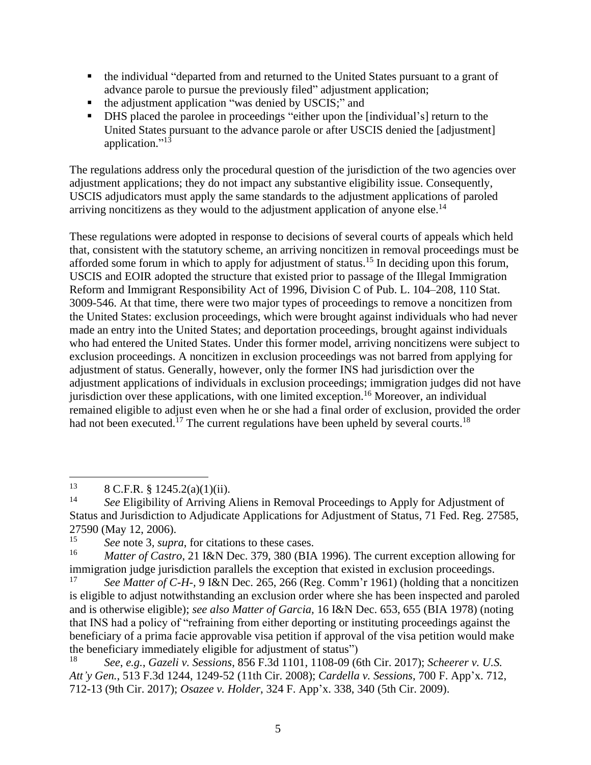- the individual "departed from and returned to the United States pursuant to a grant of advance parole to pursue the previously filed" adjustment application;
- the adjustment application "was denied by USCIS;" and
- DHS placed the parolee in proceedings "either upon the [individual's] return to the United States pursuant to the advance parole or after USCIS denied the [adjustment] application."<sup>13</sup>

The regulations address only the procedural question of the jurisdiction of the two agencies over adjustment applications; they do not impact any substantive eligibility issue. Consequently, USCIS adjudicators must apply the same standards to the adjustment applications of paroled arriving noncitizens as they would to the adjustment application of anyone else.<sup>14</sup>

These regulations were adopted in response to decisions of several courts of appeals which held that, consistent with the statutory scheme, an arriving noncitizen in removal proceedings must be afforded some forum in which to apply for adjustment of status.<sup>15</sup> In deciding upon this forum, USCIS and EOIR adopted the structure that existed prior to passage of the Illegal Immigration Reform and Immigrant Responsibility Act of 1996, Division C of Pub. L. 104–208, 110 Stat. 3009-546. At that time, there were two major types of proceedings to remove a noncitizen from the United States: exclusion proceedings, which were brought against individuals who had never made an entry into the United States; and deportation proceedings, brought against individuals who had entered the United States. Under this former model, arriving noncitizens were subject to exclusion proceedings. A noncitizen in exclusion proceedings was not barred from applying for adjustment of status. Generally, however, only the former INS had jurisdiction over the adjustment applications of individuals in exclusion proceedings; immigration judges did not have jurisdiction over these applications, with one limited exception.<sup>16</sup> Moreover, an individual remained eligible to adjust even when he or she had a final order of exclusion, provided the order had not been executed.<sup>17</sup> The current regulations have been upheld by several courts.<sup>18</sup>

<sup>&</sup>lt;sup>13</sup> 8 C.F.R. § 1245.2(a)(1)(ii).<br><sup>14</sup> See Fligibility of Arriving

<sup>14</sup> *See* Eligibility of Arriving Aliens in Removal Proceedings to Apply for Adjustment of Status and Jurisdiction to Adjudicate Applications for Adjustment of Status, 71 Fed. Reg. 27585, 27590 (May 12, 2006).

<sup>&</sup>lt;sup>15</sup> *See* note 3, *supra*, for citations to these cases.<br><sup>16</sup> *Matter of Castro*, 21 J&N Dec <sup>270</sup> <sup>290</sup> (DJA

*Matter of Castro*, 21 I&N Dec. 379, 380 (BIA 1996). The current exception allowing for immigration judge jurisdiction parallels the exception that existed in exclusion proceedings.

See Matter of C-H-, 9 I&N Dec. 265, 266 (Reg. Comm'r 1961) (holding that a noncitizen is eligible to adjust notwithstanding an exclusion order where she has been inspected and paroled and is otherwise eligible); *see also Matter of Garcia,* 16 I&N Dec. 653, 655 (BIA 1978) (noting that INS had a policy of "refraining from either deporting or instituting proceedings against the beneficiary of a prima facie approvable visa petition if approval of the visa petition would make the beneficiary immediately eligible for adjustment of status")

<sup>18</sup> *See*, *e.g.*, *Gazeli v. Sessions*, 856 F.3d 1101, 1108-09 (6th Cir. 2017); *Scheerer v. U.S. Att'y Gen.*, 513 F.3d 1244, 1249-52 (11th Cir. 2008); *Cardella v. Sessions*, 700 F. App'x. 712, 712-13 (9th Cir. 2017); *Osazee v. Holder*, 324 F. App'x. 338, 340 (5th Cir. 2009).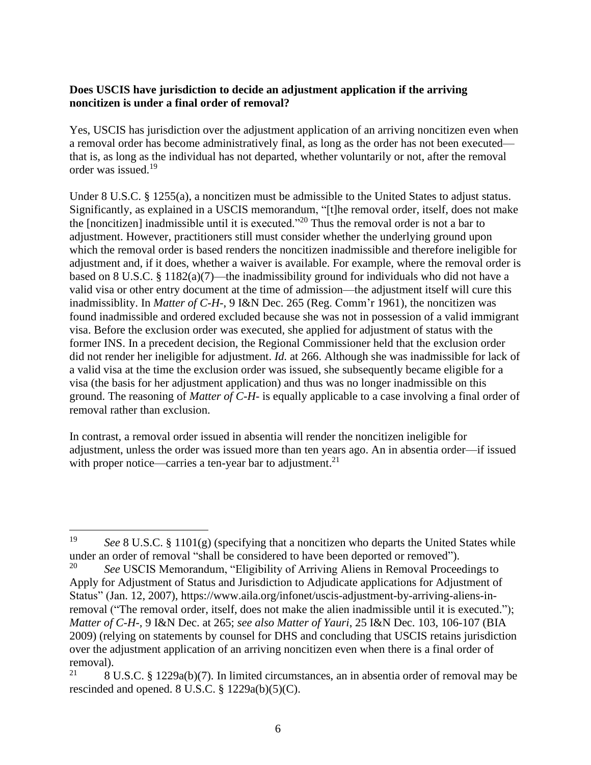### **Does USCIS have jurisdiction to decide an adjustment application if the arriving noncitizen is under a final order of removal?**

Yes, USCIS has jurisdiction over the adjustment application of an arriving noncitizen even when a removal order has become administratively final, as long as the order has not been executed that is, as long as the individual has not departed, whether voluntarily or not, after the removal order was issued.<sup>19</sup>

Under 8 U.S.C. § 1255(a), a noncitizen must be admissible to the United States to adjust status. Significantly, as explained in a USCIS memorandum, "[t]he removal order, itself, does not make the [noncitizen] inadmissible until it is executed."<sup>20</sup> Thus the removal order is not a bar to adjustment. However, practitioners still must consider whether the underlying ground upon which the removal order is based renders the noncitizen inadmissible and therefore ineligible for adjustment and, if it does, whether a waiver is available. For example, where the removal order is based on 8 U.S.C. § 1182(a)(7)—the inadmissibility ground for individuals who did not have a valid visa or other entry document at the time of admission—the adjustment itself will cure this inadmissiblity. In *Matter of C-H-*, 9 I&N Dec. 265 (Reg. Comm'r 1961), the noncitizen was found inadmissible and ordered excluded because she was not in possession of a valid immigrant visa. Before the exclusion order was executed, she applied for adjustment of status with the former INS. In a precedent decision, the Regional Commissioner held that the exclusion order did not render her ineligible for adjustment. *Id.* at 266. Although she was inadmissible for lack of a valid visa at the time the exclusion order was issued, she subsequently became eligible for a visa (the basis for her adjustment application) and thus was no longer inadmissible on this ground. The reasoning of *Matter of C-H-* is equally applicable to a case involving a final order of removal rather than exclusion.

In contrast, a removal order issued in absentia will render the noncitizen ineligible for adjustment, unless the order was issued more than ten years ago. An in absentia order—if issued with proper notice—carries a ten-year bar to adjustment.<sup>21</sup>

<sup>19</sup> *See* 8 U.S.C. § 1101(g) (specifying that a noncitizen who departs the United States while under an order of removal "shall be considered to have been deported or removed").

<sup>&</sup>lt;sup>20</sup> *See USCIS Memorandum, "Eligibility of Arriving Aliens in Removal Proceedings to* Apply for Adjustment of Status and Jurisdiction to Adjudicate applications for Adjustment of Status" (Jan. 12, 2007), https://www.aila.org/infonet/uscis-adjustment-by-arriving-aliens-inremoval ("The removal order, itself, does not make the alien inadmissible until it is executed."); *Matter of C-H-,* 9 I&N Dec. at 265; *see also Matter of Yauri*, 25 I&N Dec. 103, 106-107 (BIA 2009) (relying on statements by counsel for DHS and concluding that USCIS retains jurisdiction over the adjustment application of an arriving noncitizen even when there is a final order of removal).

<sup>&</sup>lt;sup>21</sup> 8 U.S.C. § 1229a(b)(7). In limited circumstances, an in absentia order of removal may be rescinded and opened. 8 U.S.C. § 1229a(b)(5)(C).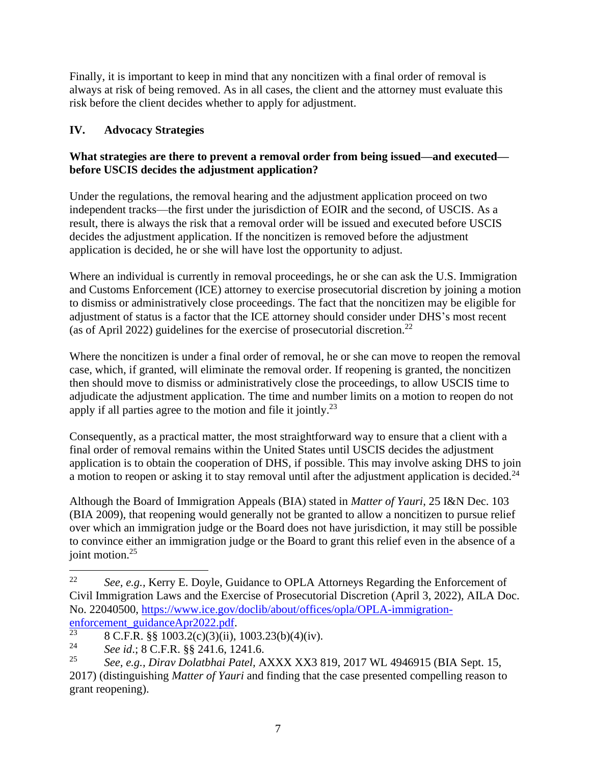Finally, it is important to keep in mind that any noncitizen with a final order of removal is always at risk of being removed. As in all cases, the client and the attorney must evaluate this risk before the client decides whether to apply for adjustment.

# **IV. Advocacy Strategies**

## **What strategies are there to prevent a removal order from being issued—and executed before USCIS decides the adjustment application?**

Under the regulations, the removal hearing and the adjustment application proceed on two independent tracks—the first under the jurisdiction of EOIR and the second, of USCIS. As a result, there is always the risk that a removal order will be issued and executed before USCIS decides the adjustment application. If the noncitizen is removed before the adjustment application is decided, he or she will have lost the opportunity to adjust.

Where an individual is currently in removal proceedings, he or she can ask the U.S. Immigration and Customs Enforcement (ICE) attorney to exercise prosecutorial discretion by joining a motion to dismiss or administratively close proceedings. The fact that the noncitizen may be eligible for adjustment of status is a factor that the ICE attorney should consider under DHS's most recent (as of April 2022) guidelines for the exercise of prosecutorial discretion.<sup>22</sup>

Where the noncitizen is under a final order of removal, he or she can move to reopen the removal case, which, if granted, will eliminate the removal order. If reopening is granted, the noncitizen then should move to dismiss or administratively close the proceedings, to allow USCIS time to adjudicate the adjustment application. The time and number limits on a motion to reopen do not apply if all parties agree to the motion and file it jointly.<sup>23</sup>

Consequently, as a practical matter, the most straightforward way to ensure that a client with a final order of removal remains within the United States until USCIS decides the adjustment application is to obtain the cooperation of DHS, if possible. This may involve asking DHS to join a motion to reopen or asking it to stay removal until after the adjustment application is decided. $24$ 

Although the Board of Immigration Appeals (BIA) stated in *Matter of Yauri*, 25 I&N Dec. 103 (BIA 2009), that reopening would generally not be granted to allow a noncitizen to pursue relief over which an immigration judge or the Board does not have jurisdiction, it may still be possible to convince either an immigration judge or the Board to grant this relief even in the absence of a joint motion. 25

<sup>22</sup> *See, e.g.,* Kerry E. Doyle, Guidance to OPLA Attorneys Regarding the Enforcement of Civil Immigration Laws and the Exercise of Prosecutorial Discretion (April 3, 2022), AILA Doc. No. 22040500, [https://www.ice.gov/doclib/about/offices/opla/OPLA-immigration](https://www.ice.gov/doclib/about/offices/opla/OPLA-immigration-enforcement_guidanceApr2022.pdf)[enforcement\\_guidanceApr2022.pdf.](https://www.ice.gov/doclib/about/offices/opla/OPLA-immigration-enforcement_guidanceApr2022.pdf)

<sup>23</sup> <sup>23</sup> 8 C.F.R. §§ 1003.2(c)(3)(ii), 1003.23(b)(4)(iv).<br><sup>24</sup> 5 c i d i <sup>9</sup> G E B <sup>8</sup> 8 241.6 1241.6

<sup>24</sup> *See id*.; 8 C.F.R. §§ 241.6, 1241.6.

<sup>25</sup> *See, e.g., Dirav Dolatbhai Patel,* AXXX XX3 819, 2017 WL 4946915 (BIA Sept. 15, 2017) (distinguishing *Matter of Yauri* and finding that the case presented compelling reason to grant reopening).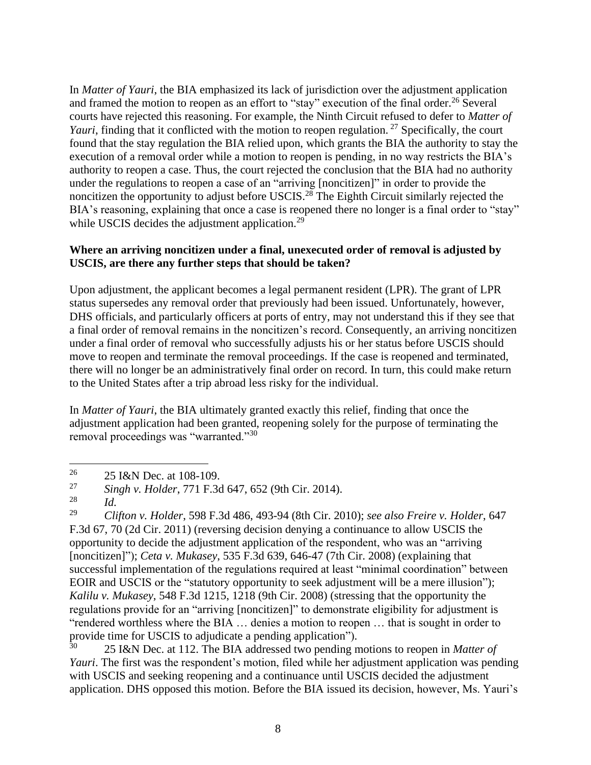In *Matter of Yauri*, the BIA emphasized its lack of jurisdiction over the adjustment application and framed the motion to reopen as an effort to "stay" execution of the final order.<sup>26</sup> Several courts have rejected this reasoning. For example, the Ninth Circuit refused to defer to *Matter of Yauri*, finding that it conflicted with the motion to reopen regulation.<sup>27</sup> Specifically, the court found that the stay regulation the BIA relied upon, which grants the BIA the authority to stay the execution of a removal order while a motion to reopen is pending, in no way restricts the BIA's authority to reopen a case. Thus, the court rejected the conclusion that the BIA had no authority under the regulations to reopen a case of an "arriving [noncitizen]" in order to provide the noncitizen the opportunity to adjust before USCIS.<sup>28</sup> The Eighth Circuit similarly rejected the BIA's reasoning, explaining that once a case is reopened there no longer is a final order to "stay" while USCIS decides the adjustment application. $^{29}$ 

### **Where an arriving noncitizen under a final, unexecuted order of removal is adjusted by USCIS, are there any further steps that should be taken?**

Upon adjustment, the applicant becomes a legal permanent resident (LPR). The grant of LPR status supersedes any removal order that previously had been issued. Unfortunately, however, DHS officials, and particularly officers at ports of entry, may not understand this if they see that a final order of removal remains in the noncitizen's record. Consequently, an arriving noncitizen under a final order of removal who successfully adjusts his or her status before USCIS should move to reopen and terminate the removal proceedings. If the case is reopened and terminated, there will no longer be an administratively final order on record. In turn, this could make return to the United States after a trip abroad less risky for the individual.

In *Matter of Yauri*, the BIA ultimately granted exactly this relief, finding that once the adjustment application had been granted, reopening solely for the purpose of terminating the removal proceedings was "warranted."<sup>30</sup>

<sup>30</sup> 25 I&N Dec. at 112. The BIA addressed two pending motions to reopen in *Matter of Yauri*. The first was the respondent's motion, filed while her adjustment application was pending with USCIS and seeking reopening and a continuance until USCIS decided the adjustment application. DHS opposed this motion. Before the BIA issued its decision, however, Ms. Yauri's

<sup>&</sup>lt;sup>26</sup> 25 I&N Dec. at 108-109.

<sup>27</sup> *Singh v. Holder*, 771 F.3d 647, 652 (9th Cir. 2014).

 $\frac{28}{29}$  *Id.* 

<sup>29</sup> *Clifton v. Holder*, 598 F.3d 486, 493-94 (8th Cir. 2010); *see also Freire v. Holder*, 647 F.3d 67, 70 (2d Cir. 2011) (reversing decision denying a continuance to allow USCIS the opportunity to decide the adjustment application of the respondent, who was an "arriving [noncitizen]"); *Ceta v. Mukasey*, 535 F.3d 639, 646-47 (7th Cir. 2008) (explaining that successful implementation of the regulations required at least "minimal coordination" between EOIR and USCIS or the "statutory opportunity to seek adjustment will be a mere illusion"); *Kalilu v. Mukasey*, 548 F.3d 1215, 1218 (9th Cir. 2008) (stressing that the opportunity the regulations provide for an "arriving [noncitizen]" to demonstrate eligibility for adjustment is "rendered worthless where the BIA … denies a motion to reopen … that is sought in order to provide time for USCIS to adjudicate a pending application").<br> $^{30}$  25 J & N Dec. at 112. The PLA addressed two pending p